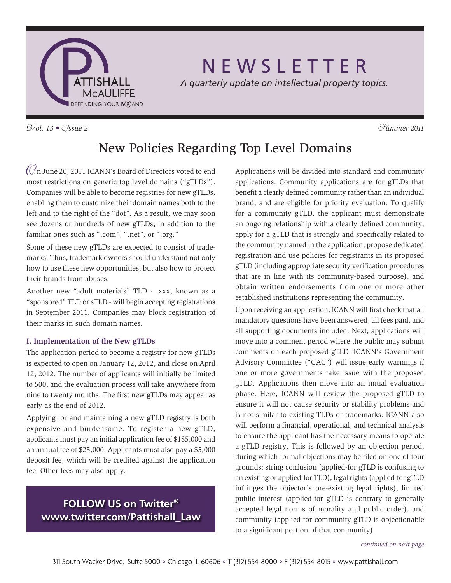

# N E W S L E T T E R

*A quarterly update on intellectual property topics.*

 $\mathcal{D}/\mathcal{O}l$ . 13 •  $\mathcal{O}/\mathcal{S}$ *sue 2*  $\mathcal{S}^2$  *Summer 2011* 

# New Policies Regarding Top Level Domains

 $\mathcal O$ n June 20, 2011 ICANN's Board of Directors voted to end most restrictions on generic top level domains ("gTLDs"). Companies will be able to become registries for new gTLDs, enabling them to customize their domain names both to the left and to the right of the "dot". As a result, we may soon see dozens or hundreds of new gTLDs, in addition to the familiar ones such as ".com", ".net", or ".org."

Some of these new gTLDs are expected to consist of trademarks. Thus, trademark owners should understand not only how to use these new opportunities, but also how to protect their brands from abuses.

Another new "adult materials" TLD - .xxx, known as a "sponsored" TLD or sTLD - will begin accepting registrations in September 2011. Companies may block registration of their marks in such domain names.

#### **I. Implementation of the New gTLDs**

The application period to become a registry for new gTLDs is expected to open on January 12, 2012, and close on April 12, 2012. The number of applicants will initially be limited to 500, and the evaluation process will take anywhere from nine to twenty months. The first new gTLDs may appear as early as the end of 2012.

Applying for and maintaining a new gTLD registry is both expensive and burdensome. To register a new gTLD, applicants must pay an initial application fee of \$185,000 and an annual fee of \$25,000. Applicants must also pay a \$5,000 deposit fee, which will be credited against the application fee. Other fees may also apply.

### **FOLLOW US on Twitter® www.twitter.com/Pattishall\_Law**

Applications will be divided into standard and community applications. Community applications are for gTLDs that benefit a clearly defined community rather than an individual brand, and are eligible for priority evaluation. To qualify for a community gTLD, the applicant must demonstrate an ongoing relationship with a clearly defined community, apply for a gTLD that is strongly and specifically related to the community named in the application, propose dedicated registration and use policies for registrants in its proposed gTLD (including appropriate security verification procedures that are in line with its community-based purpose), and obtain written endorsements from one or more other established institutions representing the community.

Upon receiving an application, ICANN will first check that all mandatory questions have been answered, all fees paid, and all supporting documents included. Next, applications will move into a comment period where the public may submit comments on each proposed gTLD. ICANN's Government Advisory Committee ("GAC") will issue early warnings if one or more governments take issue with the proposed gTLD. Applications then move into an initial evaluation phase. Here, ICANN will review the proposed gTLD to ensure it will not cause security or stability problems and is not similar to existing TLDs or trademarks. ICANN also will perform a financial, operational, and technical analysis to ensure the applicant has the necessary means to operate a gTLD registry. This is followed by an objection period, during which formal objections may be filed on one of four grounds: string confusion (applied-for gTLD is confusing to an existing or applied-for TLD), legal rights (applied-for gTLD infringes the objector's pre-existing legal rights), limited public interest (applied-for gTLD is contrary to generally accepted legal norms of morality and public order), and community (applied-for community gTLD is objectionable to a significant portion of that community).

*continued on next page*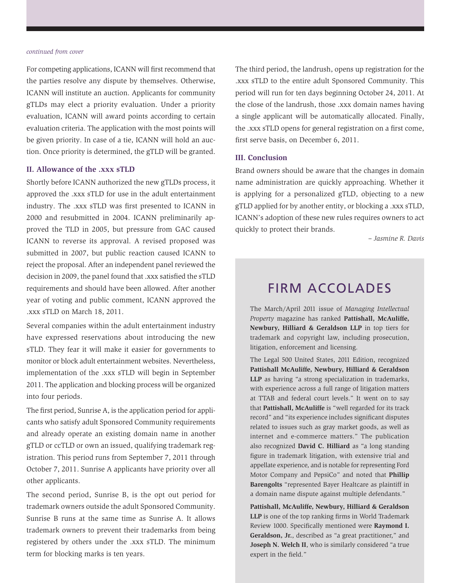#### *continued from cover*

For competing applications, ICANN will first recommend that the parties resolve any dispute by themselves. Otherwise, ICANN will institute an auction. Applicants for community gTLDs may elect a priority evaluation. Under a priority evaluation, ICANN will award points according to certain evaluation criteria. The application with the most points will be given priority. In case of a tie, ICANN will hold an auction. Once priority is determined, the gTLD will be granted.

#### **II. Allowance of the .xxx sTLD**

Shortly before ICANN authorized the new gTLDs process, it approved the .xxx sTLD for use in the adult entertainment industry. The .xxx sTLD was first presented to ICANN in 2000 and resubmitted in 2004. ICANN preliminarily approved the TLD in 2005, but pressure from GAC caused ICANN to reverse its approval. A revised proposed was submitted in 2007, but public reaction caused ICANN to reject the proposal. After an independent panel reviewed the decision in 2009, the panel found that .xxx satisfied the sTLD requirements and should have been allowed. After another year of voting and public comment, ICANN approved the .xxx sTLD on March 18, 2011.

Several companies within the adult entertainment industry have expressed reservations about introducing the new sTLD. They fear it will make it easier for governments to monitor or block adult entertainment websites. Nevertheless, implementation of the .xxx sTLD will begin in September 2011. The application and blocking process will be organized into four periods.

The first period, Sunrise A, is the application period for applicants who satisfy adult Sponsored Community requirements and already operate an existing domain name in another gTLD or ccTLD or own an issued, qualifying trademark registration. This period runs from September 7, 2011 through October 7, 2011. Sunrise A applicants have priority over all other applicants.

The second period, Sunrise B, is the opt out period for trademark owners outside the adult Sponsored Community. Sunrise B runs at the same time as Sunrise A. It allows trademark owners to prevent their trademarks from being registered by others under the .xxx sTLD. The minimum term for blocking marks is ten years.

The third period, the landrush, opens up registration for the .xxx sTLD to the entire adult Sponsored Community. This period will run for ten days beginning October 24, 2011. At the close of the landrush, those .xxx domain names having a single applicant will be automatically allocated. Finally, the .xxx sTLD opens for general registration on a first come, first serve basis, on December 6, 2011.

#### **III. Conclusion**

Brand owners should be aware that the changes in domain name administration are quickly approaching. Whether it is applying for a personalized gTLD, objecting to a new gTLD applied for by another entity, or blocking a .xxx sTLD, ICANN's adoption of these new rules requires owners to act quickly to protect their brands.

*– Jasmine R. Davis*

## FIRM ACCOLADES

The March/April 2011 issue of *Managing Intellectual Property* magazine has ranked **Pattishall, McAuliffe, Newbury, Hilliard & Geraldson LLP** in top tiers for trademark and copyright law, including prosecution, litigation, enforcement and licensing.

The Legal 500 United States, 2011 Edition, recognized **Pattishall McAuliffe, Newbury, Hilliard & Geraldson LLP** as having "a strong specialization in trademarks, with experience across a full range of litigation matters at TTAB and federal court levels." It went on to say that **Pattishall, McAuliffe** is "well regarded for its track record" and "its experience includes significant disputes related to issues such as gray market goods, as well as internet and e-commerce matters." The publication also recognized **David C. Hilliard** as "a long standing figure in trademark litigation, with extensive trial and appellate experience, and is notable for representing Ford Motor Company and PepsiCo" and noted that **Phillip Barengolts** "represented Bayer Healtcare as plaintiff in a domain name dispute against multiple defendants."

**Pattishall, McAuliffe, Newbury, Hilliard & Geraldson LLP** is one of the top ranking firms in World Trademark Review 1000. Specifically mentioned were **Raymond I. Geraldson, Jr.**, described as "a great practitioner," and **Joseph N. Welch II**, who is similarly considered "a true expert in the field."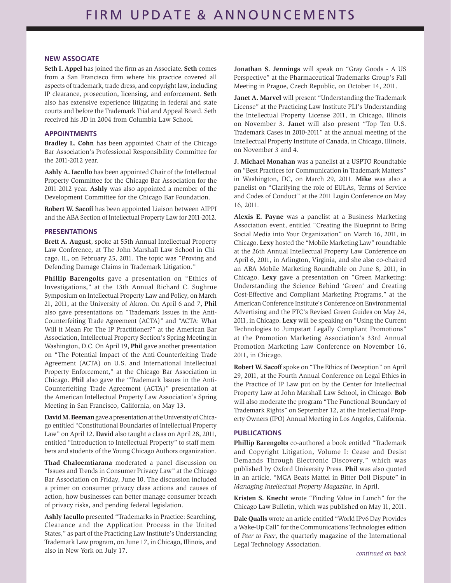#### **NEW ASSOCIATE**

**Seth I. Appel** has joined the firm as an Associate. **Seth** comes from a San Francisco firm where his practice covered all aspects of trademark, trade dress, and copyright law, including IP clearance, prosecution, licensing, and enforcement. **Seth** also has extensive experience litigating in federal and state courts and before the Trademark Trial and Appeal Board. Seth received his JD in 2004 from Columbia Law School.

#### **APPOINTMENTS**

**Bradley L. Cohn** has been appointed Chair of the Chicago Bar Association's Professional Responsibility Committee for the 2011-2012 year.

**Ashly A. Iacullo** has been appointed Chair of the Intellectual Property Committee for the Chicago Bar Association for the 2011-2012 year. **Ashly** was also appointed a member of the Development Committee for the Chicago Bar Foundation.

**Robert W. Sacoff** has been appointed Liaison between AIPPI and the ABA Section of Intellectual Property Law for 2011-2012.

#### **PRESENTATIONS**

**Brett A. August**, spoke at 55th Annual Intellectual Property Law Conference, at The John Marshall Law School in Chicago, IL, on February 25, 2011. The topic was "Proving and Defending Damage Claims in Trademark Litigation."

**Phillip Barengolts** gave a presentation on "Ethics of Investigations," at the 13th Annual Richard C. Sughrue Symposium on Intellectual Property Law and Policy, on March 21, 2011, at the University of Akron. On April 6 and 7, **Phil** also gave presentations on "Trademark Issues in the Anti-Counterfeiting Trade Agreement (ACTA)" and "ACTA: What Will it Mean For The IP Practitioner?" at the American Bar Association, Intellectual Property Section's Spring Meeting in Washington, D.C. On April 19, **Phil** gave another presentation on "The Potential Impact of the Anti-Counterfeiting Trade Agreement (ACTA) on U.S. and International Intellectual Property Enforcement," at the Chicago Bar Association in Chicago. **Phil** also gave the "Trademark Issues in the Anti-Counterfeiting Trade Agreement (ACTA)" presentation at the American Intellectual Property Law Association's Spring Meeting in San Francisco, California, on May 13.

David M. Beeman gave a presentation at the University of Chicago entitled "Constitutional Boundaries of Intellectual Property Law" on April 12. **David** also taught a class on April 28, 2011, entitled "Introduction to Intellectual Property" to staff members and students of the Young Chicago Authors organization.

**Thad Chaloemtiarana** moderated a panel discussion on "Issues and Trends in Consumer Privacy Law" at the Chicago Bar Association on Friday, June 10. The discussion included a primer on consumer privacy class actions and causes of action, how businesses can better manage consumer breach of privacy risks, and pending federal legislation.

**Ashly Iacullo** presented "Trademarks in Practice: Searching, Clearance and the Application Process in the United States," as part of the Practicing Law Institute's Understanding Trademark Law program, on June 17, in Chicago, Illinois, and also in New York on July 17.

**Jonathan S. Jennings** will speak on "Gray Goods - A US Perspective" at the Pharmaceutical Trademarks Group's Fall Meeting in Prague, Czech Republic, on October 14, 2011.

**Janet A. Marvel** will present "Understanding the Trademark License" at the Practicing Law Institute PLI's Understanding the Intellectual Property License 2011, in Chicago, Illinois on November 3. **Janet** will also present "Top Ten U.S. Trademark Cases in 2010-2011" at the annual meeting of the Intellectual Property Institute of Canada, in Chicago, Illinois, on November 3 and 4.

**J. Michael Monahan** was a panelist at a USPTO Roundtable on "Best Practices for Communication in Trademark Matters" in Washington, DC, on March 29, 2011. **Mike** was also a panelist on "Clarifying the role of EULAs, Terms of Service and Codes of Conduct" at the 2011 Login Conference on May 16, 2011.

**Alexis E. Payne** was a panelist at a Business Marketing Association event, entitled "Creating the Blueprint to Bring Social Media into Your Organization" on March 16, 2011, in Chicago. **Lexy** hosted the "Mobile Marketing Law" roundtable at the 26th Annual Intellectual Property Law Conference on April 6, 2011, in Arlington, Virginia, and she also co-chaired an ABA Mobile Marketing Roundtable on June 8, 2011, in Chicago. **Lexy** gave a presentation on "Green Marketing: Understanding the Science Behind 'Green' and Creating Cost-Effective and Compliant Marketing Programs," at the American Conference Institute's Conference on Environmental Advertising and the FTC's Revised Green Guides on May 24, 2011, in Chicago. **Lexy** will be speaking on "Using the Current Technologies to Jumpstart Legally Compliant Promotions" at the Promotion Marketing Association's 33rd Annual Promotion Marketing Law Conference on November 16, 2011, in Chicago.

**Robert W. Sacoff** spoke on "The Ethics of Deception" on April 29, 2011, at the Fourth Annual Conference on Legal Ethics in the Practice of IP Law put on by the Center for Intellectual Property Law at John Marshall Law School, in Chicago. **Bob** will also moderate the program "The Functional Boundary of Trademark Rights" on September 12, at the Intellectual Property Owners (IPO) Annual Meeting in Los Angeles, California.

#### **PUBLICATIONS**

**Phillip Barengolts** co-authored a book entitled "Trademark and Copyright Litigation, Volume I: Cease and Desist Demands Through Electronic Discovery," which was published by Oxford University Press. **Phil** was also quoted in an article, "MGA Beats Mattel in Bitter Doll Dispute" in *Managing Intellectual Property Magazine*, in April.

**Kristen S. Knecht** wrote "Finding Value in Lunch" for the Chicago Law Bulletin, which was published on May 11, 2011.

**Dale Qualls** wrote an article entitled "World IPv6 Day Provides a Wake-Up Call" for the Communications Technologies edition of *Peer to Peer*, the quarterly magazine of the International Legal Technology Association.